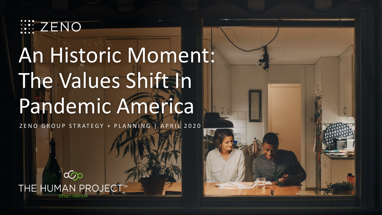

# An Historic Moment: The Values Shift In Pandemic America

ZENO GROUP STRATEGY + PLANNING | APRIL 2020

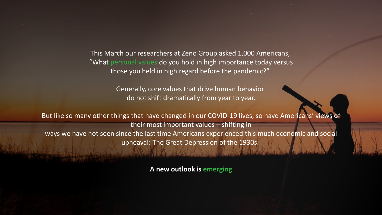This March our researchers at Zeno Group asked 1,000 Americans, "What personal values do you hold in high importance today versus those you held in high regard before the pandemic?"

> Generally, core values that drive human behavior do not shift dramatically from year to year.

But like so many other things that have changed in our COVID-19 lives, so have Americans' views of their most important values – shifting in ways we have not seen since the last time Americans experienced this much economic and social upheaval: The Great Depression of the 1930s.

**A new outlook is emerging**

We will the the light with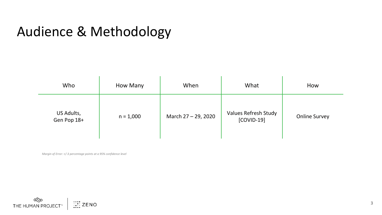#### Audience & Methodology

| Who                       | How Many    | When                | What                                 | How                  |
|---------------------------|-------------|---------------------|--------------------------------------|----------------------|
| US Adults,<br>Gen Pop 18+ | $n = 1,000$ | March 27 - 29, 2020 | Values Refresh Study<br>$[COVID-19]$ | <b>Online Survey</b> |

*Margin of Error: +/-3 percentage points at a 95% confidence level*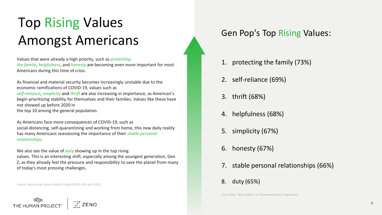### Top Rising Values Amongst Americans

Values that were already a high priority, such as *protecting the family*, *helpfulness*, and *honesty* are becoming even more important for most Americans during this time of crisis.

As financial and material security becomes increasingly unstable due to the economic ramifications of COVID-19, values such as *self-reliance*, *simplicity* and *thrift* are also increasing in importance, as American's begin prioritizing stability for themselves and their families. Values like these have not showed up before 2020 in the top 10 among the general population.

As Americans face more consequences of COVID-19, such as social-distancing, self-quarantining and working from home, this new daily reality has many Americans reassessing the importance of their *stable personal relationships.* 

We also see the value of *duty* showing up in the top rising

values. This is an interesting shift, especially among the youngest generation, Gen Z, as they already feel the pressure and responsibility to save the planet from many of today's most pressing challenges.

Source: Zeno Group Values Refresh Study [COVID-19], April 2020

ترینی<br>THE HUMAN PROJI

#### Gen Pop's Top Rising Values:

- 1. protecting the family (73%)
- 2. self-reliance (69%)
- 3. thrift (68%)
- 4. helpfulness (68%)
- 5. simplicity (67%)
- 6. honesty (67%)
- 7. stable personal relationships (66%)
- 8. duty (65%)

*[Top-2 Box, "Much More" or "Somewhat More" important]*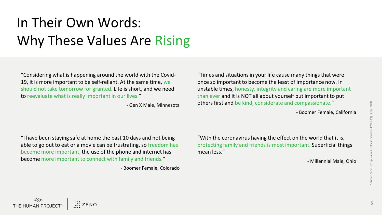## In Their Own Words: Why These Values Are Rising

"Considering what is happening around the world with the Covid-19, it is more important to be self-reliant. At the same time, we should not take tomorrow for granted. Life is short, and we need to reevaluate what is really important in our lives."

- Gen X Male, Minnesota

"Times and situations in your life cause many things that were once so important to become the least of importance now. In unstable times, honesty, integrity and caring are more important than ever and it is NOT all about yourself but important to put others first and be kind, considerate and compassionate."

- Boomer Female, California

"I have been staying safe at home the past 10 days and not being able to go out to eat or a movie can be frustrating, so freedom has become more important, the use of the phone and internet has become more important to connect with family and friends."

- Boomer Female, Colorado

"With the coronavirus having the effect on the world that it is, protecting family and friends is most important. Superficial things mean less."

- Millennial Male, Ohio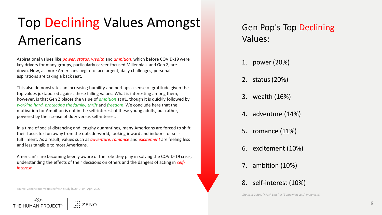### Top Declining Values Amongst Americans

Aspirational values like *power, status, wealth* and *ambition*, which before COVID-19 were key drivers for many groups, particularly career-focused Millennials and Gen Z, are down. Now, as more Americans begin to face urgent, daily challenges, personal aspirations are taking a back seat.

This also demonstrates an increasing humility and perhaps a sense of gratitude given the top values juxtaposed against these falling values. What is interesting among them, however, is that Gen Z places the value of *ambition* at #1, though it is quickly followed by *working hard, protecting the family, thrift* and *freedom*. We conclude here that the motivation for Ambition is not in the self-interest of these young adults, but rather, is powered by their sense of duty versus self-interest.

In a time of social-distancing and lengthy quarantines, many Americans are forced to shift their focus for fun away from the outside-world, looking inward and indoors for selffulfillment. As a result, values such as *adventure, romance* and *excitement* are feeling less and less tangible to most Americans.

American's are becoming keenly aware of the role they play in solving the COVID-19 crisis, understanding the effects of their decisions on others and the dangers of acting in *selfinterest.*

Source: Zeno Group Values Refresh Study [COVID-19], April 2020

oرین<br>THE HUMAN PROJEC

#### Gen Pop's Top Declining Values:

- 1. power (20%)
- 2. status (20%)
- 3. wealth (16%)
- 4. adventure (14%)
- 5. romance (11%)
- 6. excitement (10%)
- 7. ambition (10%)
- 8. self-interest (10%)

*[Bottom-2 Box, "Much Less" or "Somewhat Less" important]*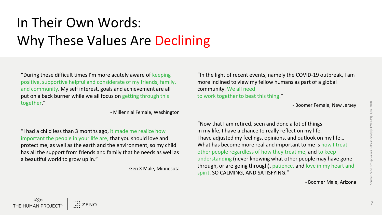### In Their Own Words: Why These Values Are Declining

"During these difficult times I'm more acutely aware of keeping positive, supportive helpful and considerate of my friends, family, and community. My self interest, goals and achievement are all put on a back burner while we all focus on getting through this together."

- Millennial Female, Washington

"I had a child less than 3 months ago, it made me realize how important the people in your life are, that you should love and protect me, as well as the earth and the environment, so my child has all the support from friends and family that he needs as well as a beautiful world to grow up in."

COO COOR<br>THE HUMAN PROJEC

- Gen X Male, Minnesota

"In the light of recent events, namely the COVID-19 outbreak, I am more inclined to view my fellow humans as part of a global community. We all need to work together to beat this thing."

- Boomer Female, New Jersey

"Now that I am retired, seen and done a lot of things in my life, I have a chance to really reflect on my life. I have adjusted my feelings, opinions. and outlook on my life… What has become more real and important to me is how I treat other people regardless of how they treat me, and to keep understanding (never knowing what other people may have gone through, or are going through), patience, and love in my heart and spirit. SO CALMING, AND SATISFYING."

- Boomer Male, Arizona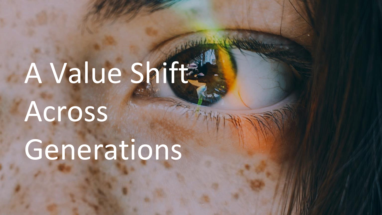# A Value Shift Across

Generations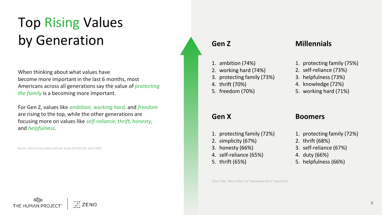### Top Rising Values by Generation

When thinking about what values have become more important in the last 6 months, most Americans across all generations say the value of *protecting the family* is a becoming more important.

For Gen Z, values like *ambition, working hard,* and *freedom* are rising to the top, while the other generations are focusing more on values like *self-reliance, thrift, honesty,*  and *helpfulness*.

Source: Zeno Group Values Refresh Study [COVID-19], April 2020

- 1. ambition (74%)
- 2. working hard (74%)
- 3. protecting family (73%)
- 4. thrift (70%)
- 5. freedom (70%)

#### **Gen Z Millennials**

- 1. protecting family (75%)
- 2. self-reliance (73%)
- 3. helpfulness (73%)
- 4. knowledge (72%)
- 5. working hard (71%)

#### **Gen X Boomers**

- 1. protecting family (72%)
- 2. simplicity (67%)
- 3. honesty (66%)
- 4. self-reliance (65%)
- 5. thrift (65%)

1. protecting family (72%)

- 2. thrift (68%)
- 3. self-reliance (67%)
- 4. duty (66%)
- 5. helpfulness (66%)

*[Top-2 Box, "Much More" or "Somewhat More" important]*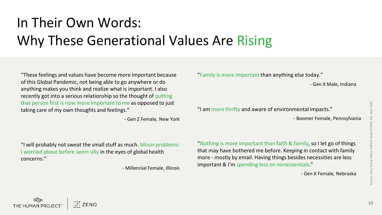### In Their Own Words: Why These Generational Values Are Rising

"These feelings and values have become more important because of this Global Pandemic, not being able to go anywhere or do anything makes you think and realize what is important. I also recently got into a serious relationship so the thought of putting that person first is now more important to me as opposed to just taking care of my own thoughts and feelings."

- Gen Z Female, New York

"Family is more important than anything else today."

- Gen X Male, Indiana

"I am more thrifty and aware of environmental impacts."

- Boomer Female, Pennsylvania

"I will probably not sweat the small stuff as much. Minor problems I worried about before seem silly in the eyes of global health concerns."

- Millennial Female, Illinois

"Nothing is more important than faith & family, so I let go of things that may have bothered me before. Keeping in contact with family more - mostly by email. Having things besides necessities are less important & I'm spending less on nonessentials."

- Gen X Female, Nebraska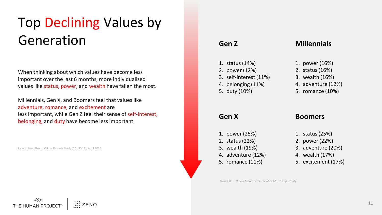### Top Declining Values by Generation

When thinking about which values have become less important over the last 6 months, more individualized values like status, power, and wealth have fallen the most.

Millennials, Gen X, and Boomers feel that values like adventure, romance, and excitement are less important, while Gen Z feel their sense of self-interest, belonging, and duty have become less important.

Source: Zeno Group Values Refresh Study [COVID-19], April 2020

- 1. status (14%)
- 2. power (12%)
- 3. self-interest (11%)
- 4. belonging (11%)
- 5. duty (10%)

#### **Gen Z Millennials**

- 1. power (16%)
- 2. status (16%)
- 3. wealth (16%)
- 4. adventure (12%)
- 5. romance (10%)

#### **Gen X Boomers**

- 1. power (25%)
- 2. status (22%)
- 3. wealth (19%)
- 4. adventure (12%)
- 5. romance (11%)
- 
- 1. status (25%)
- 2. power (22%)
- 3. adventure (20%)
- 4. wealth (17%)
- 5. excitement (17%)

*[Top-2 Box, "Much More" or "Somewhat More" important]*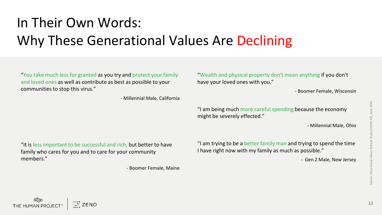## In Their Own Words: Why These Generational Values Are Declining

"You take much less for granted as you try and protect your family and loved ones as well as contribute as best as possible to your communities to stop this virus."

- Millennial Male, California

"I am being much more careful spending because the economy might be severely effected."

"Wealth and physical property don't mean anything if you don't

have your loved ones with you."

- Millennial Male, Ohio

- Boomer Female, Wisconsin

"It is less important to be successful and rich, but better to have family who cares for you and to care for your community members."

- Boomer Female, Maine

"I am trying to be a better family man and trying to spend the time I have right now with my family as much as possible."

- Gen Z Male, New Jersey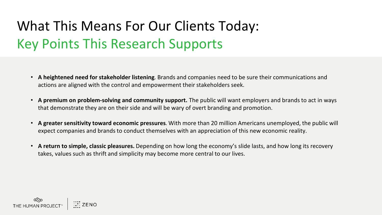### What This Means For Our Clients Today: Key Points This Research Supports

- **A heightened need for stakeholder listening**. Brands and companies need to be sure their communications and actions are aligned with the control and empowerment their stakeholders seek.
- **A premium on problem-solving and community support.** The public will want employers and brands to act in ways that demonstrate they are on their side and will be wary of overt branding and promotion.
- **A greater sensitivity toward economic pressures**. With more than 20 million Americans unemployed, the public will expect companies and brands to conduct themselves with an appreciation of this new economic reality.
- **A return to simple, classic pleasures.** Depending on how long the economy's slide lasts, and how long its recovery takes, values such as thrift and simplicity may become more central to our lives.